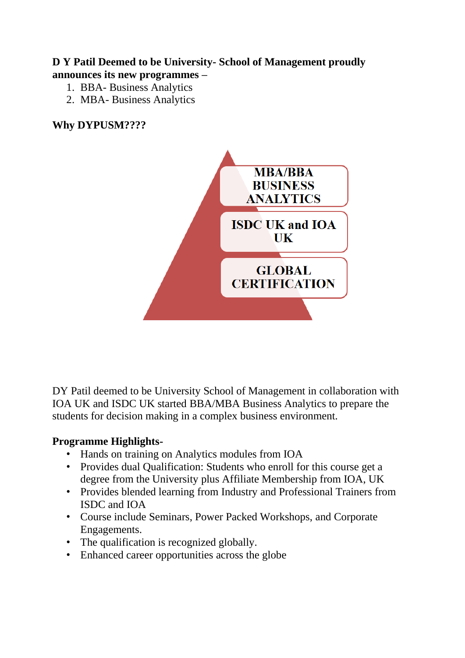#### **D Y Patil Deemed to be University- School of Management proudly announces its new programmes –**

- 1. BBA- Business Analytics
- 2. MBA- Business Analytics

## **Why DYPUSM????**



DY Patil deemed to be University School of Management in collaboration with IOA UK and ISDC UK started BBA/MBA Business Analytics to prepare the students for decision making in a complex business environment.

#### **Programme Highlights-**

- Hands on training on Analytics modules from IOA
- Provides dual Qualification: Students who enroll for this course get a degree from the University plus Affiliate Membership from IOA, UK
- Provides blended learning from Industry and Professional Trainers from ISDC and IOA
- Course include Seminars, Power Packed Workshops, and Corporate Engagements.
- The qualification is recognized globally.
- Enhanced career opportunities across the globe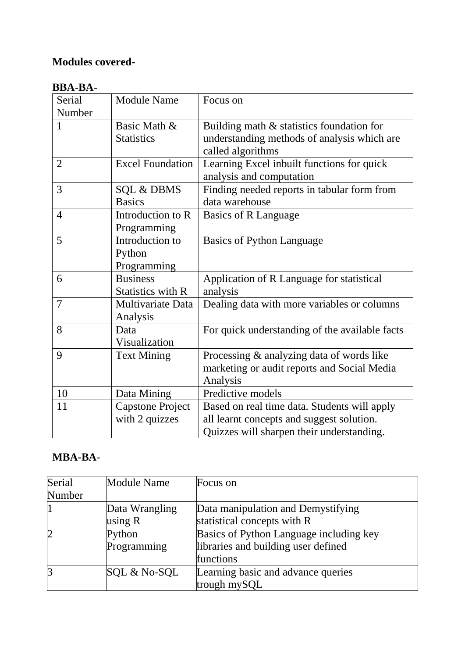## **Modules covered-**

## **BBA-BA**-

| Serial         | <b>Module Name</b>       | Focus on                                       |
|----------------|--------------------------|------------------------------------------------|
| Number         |                          |                                                |
| $\mathbf{1}$   | Basic Math &             | Building math & statistics foundation for      |
|                | <b>Statistics</b>        | understanding methods of analysis which are    |
|                |                          | called algorithms                              |
| $\overline{2}$ | <b>Excel Foundation</b>  | Learning Excel inbuilt functions for quick     |
|                |                          | analysis and computation                       |
| 3              | <b>SQL &amp; DBMS</b>    | Finding needed reports in tabular form from    |
|                | <b>Basics</b>            | data warehouse                                 |
| $\overline{4}$ | Introduction to R        | Basics of R Language                           |
|                | Programming              |                                                |
| 5              | Introduction to          | <b>Basics of Python Language</b>               |
|                | Python                   |                                                |
|                | Programming              |                                                |
| 6              | <b>Business</b>          | Application of R Language for statistical      |
|                | <b>Statistics with R</b> | analysis                                       |
| $\overline{7}$ | Multivariate Data        | Dealing data with more variables or columns    |
|                | Analysis                 |                                                |
| 8              | Data                     | For quick understanding of the available facts |
|                | Visualization            |                                                |
| 9              | <b>Text Mining</b>       | Processing & analyzing data of words like      |
|                |                          | marketing or audit reports and Social Media    |
|                |                          | Analysis                                       |
| 10             | Data Mining              | Predictive models                              |
| 11             | <b>Capstone Project</b>  | Based on real time data. Students will apply   |
|                | with 2 quizzes           | all learnt concepts and suggest solution.      |
|                |                          | Quizzes will sharpen their understanding.      |

## **MBA-BA**-

| Serial         | <b>Module Name</b> | Focus on                                |
|----------------|--------------------|-----------------------------------------|
| Number         |                    |                                         |
|                | Data Wrangling     | Data manipulation and Demystifying      |
|                | using $R$          | statistical concepts with R             |
| $\overline{2}$ | Python             | Basics of Python Language including key |
|                | Programming        | libraries and building user defined     |
|                |                    | functions                               |
| 3              | SQL & No-SQL       | Learning basic and advance queries      |
|                |                    | trough mySQL                            |